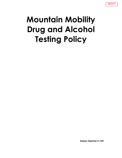

# **Mountain Mobility Drug and Alcohol Testing Policy**

**Adopted: September 21, 2021**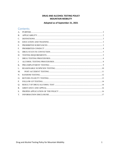#### DRUG AND ALCOHOL TESTING POLICY **MOUNTAIN MOBILITY**

#### Adopted as of September 21, 2021

## Contents

| $\mathsf{A}$ . |  |
|----------------|--|
| В.             |  |
| C.             |  |
| D.             |  |
| Е.             |  |
| F.             |  |
| G.             |  |
| Н.             |  |
| L.             |  |
| J.             |  |
| K.             |  |
| $\mathbf{L}$   |  |
| M.             |  |
| N.             |  |
| Ο.             |  |
| P.             |  |
| Q.             |  |
| R.             |  |
| S.             |  |
| Т.             |  |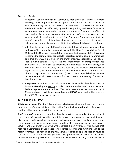## <span id="page-2-0"></span>**A. PURPOSE**

- 1) Buncombe County, through its Community Transportation System, Mountain Mobility, provides public transit and paratransit services for the residents of Buncombe County. Part of our mission is to ensure that this service is delivered safely, efficiently, and effectively by establishing a drug and *alcohol*-free work environment, and to ensure that the workplace remains free from the effects of drugs and *alcohol* in order to promote the health and safety of employees and the general public. In keeping with this mission, Buncombe County declares that the unlawful manufacture, distribution, dispense, possession, or use of controlled substances or misuse of *alcohol* is prohibited for all Mountain Mobility employees.
- 2) Additionally, the purpose of this policy is to establish guidelines to maintain a drug and *alcohol*-free workplace in compliance with the Drug-Free Workplace Act of 1988, and the Omnibus Transportation Employee Testing Act of 1991. This policy is intended to comply with all applicable Federal regulations governing workplace anti-drug and *alcohol* programs in the transit industry. Specifically, the Federal Transit Administration (FTA) of the U.S. Department of Transportation has published 49 CFR Part 655, as amended, that mandates urine drug testing and breath *alcohol* testing for safety-sensitive positions, and prohibits performance of *safety-sensitive functions* when there is a positive test result, or a refusal to test. The U. S. Department of Transportation (USDOT) has also published 49 CFR Part 40, as amended, that sets standards for the collection and testing of urine and breath specimens.
- 3) Any provisions set forth in this policy that are included under the sole authority of Mountain Mobility and are not provided under the authority of the above named Federal regulations are underlined. Tests conducted under the sole authority of Mountain Mobility will be performed on non-USDOT forms and will be separate from USDOT testing in all respects.

# <span id="page-2-1"></span>**B. APPLICABILITY**

This Drug and Alcohol Testing Policy applies to all safety-sensitive employees (full- or parttime) when *performing* safety sensitive duties. See Attachment A for a list of employees and the authority under which they are included.

A *safety-sensitive function* is operation of public transit service including the operation of a *revenue service vehicle* (whether or not the *vehicle* is in revenue service), maintenance of a *revenue service vehicle* or equipment used in revenue service, security personnel who carry firearms, dispatchers or persons controlling the movement of *revenue service vehicles* and any transit employee who operates a non-*revenue service vehicle* that requires a Commercial Driver's License to operate. Maintenance functions include the repair, overhaul, and rebuild of engines, *vehicles* and/or equipment used in revenue service. A list of safety-sensitive positions who perform one or more of the above mentioned duties is provided in Attachment A. Supervisors are only safety sensitive if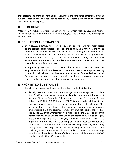they perform one of the above functions. Volunteers are considered safety sensitive and subject to testing if they are required to hold a CDL, or receive remuneration for service in excess of actual expense.

# <span id="page-3-0"></span>**C. DEFINITIONS**

Attachment C includes definitions specific to the Mountain Mobility Drug and Alcohol Policy. All defined terms words are italicized throughout the Mountain Mobility Drug and Alcohol Policy.

# <span id="page-3-1"></span>**D. EDUCATION AND TRAINING**

- 1) Every *covered employee* will receive a copy of this policy and will have ready access to the corresponding federal regulations including 49 CFR Parts 655 and 40, as amended. In addition, all *covered employee*s will undergo a minimum of 60 minutes of training on the signs and symptoms of drug use including the effects and consequences of drug use on personal health, safety, and the work environment. The training also includes manifestations and behavioral cues that may indicate *prohibited drug* use.
- 2) All supervisory personnel or company officials who are in a position to determine employee fitness for duty will receive 60 minutes of reasonable suspicion training on the physical, behavioral, and performance indicators of probable drug use and 60 minutes of additional reasonable suspicion training on the physical, behavioral, speech, and performance indicators of probable *alcohol* misuse.

# <span id="page-3-2"></span>**E. PROHIBITED SUBSTANCES**

- 1) Prohibited substances addressed by this policy include the following.
	- a. Illegally Used Controlled Substance or Drugs Under the Drug-Free Workplace Act of 1988 any drug or any substance identified in Schedule I through V of Section 202 of the Controlled Substance Act (21 U.S.C. 812), and as further defined by 21 CFR 1308.11 through 1308.15 is prohibited at all times in the workplace unless a legal prescription has been written for the substance. This includes, but is not limited to: marijuana, amphetamines, opioids, phencyclidine (PCP), and cocaine, as well as any drug not approved for medical use by the U.S. Drug Enforcement Administration or the U.S. Food and Drug Administration. Illegal use includes use of any illegal drug, misuse of legally prescribed drugs, and use of illegally obtained prescription drugs. It is important to note that the use of marijuana in any circumstances remains completely prohibited for any safety-sensitive employee subject to drug testing under USDOT regulations. The use of marijuana in any circumstance (including under state recreational and/or medical marijuana laws) by a safetysensitive employee is a violation of this policy and a violation of the USDOT regulation 49 CFR Part 40, as amended.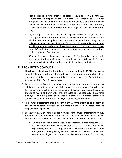Federal Transit Administration drug testing regulations (49 CFR Part 655) require that all employees covered under FTA authority be tested for marijuana, cocaine, amphetamines, opioids, and phencyclidine as described in this policy. Illegal use of these five drugs is prohibited at all times and thus, *covered employees* may be tested for these drugs anytime that they are on duty.

- b. Legal Drugs: The appropriate use of legally prescribed drugs and nonprescription medications is not prohibited. However, the use of any substance which carries a warning label that indicates that mental functioning, motor skills, or judgment may be adversely affected must be reported to a Mountain Mobility supervisor and the employee is required to provide a written release from his/her doctor or pharmacist indicating that the employee can perform his/her *safety-sensitive functions*.
- c. *Alcohol*: The use of beverages containing *alcohol* (including mouthwash, medication, food, candy) or any other substances containing *alcohol* in a manner which violates the conduct listed in this policy is prohibited.

#### <span id="page-4-0"></span>**F. PROHIBITED CONDUCT**

- 1) Illegal use of the drugs listed in this policy and as defined in 49 CFR Part 40, as amended is prohibited at all times. All *covered employees* are prohibited from reporting for duty or remaining on duty if they have used a *prohibited drug* as defined in 49 CFR Part 40, as amended.
- 2) Each *covered employee* is prohibited from consuming *alcohol* while *performing* safety-sensitive job functions or while on-call to perform safety-sensitive job functions. If an on-call employee has consumed *alcohol*, they must acknowledge the use of *alcohol* at the time that they are called to report for duty. The *covered employee* will subsequently be relieved of his/her on-call responsibilities and subject to discipline for not fulfilling his/her on-call responsibilities.
- 3) The Transit Department shall not permit any *covered employee* to perform or continue to perform *safety-sensitive functions* if it has actual knowledge that the employee is using *alcohol*
- 4) Each *covered employee* is prohibited from reporting to work or remaining on duty requiring the performance of *safety-sensitive functions* while having an *alcohol concentration* of 0.04 or greater regardless of when the *alcohol* was consumed.
	- a. An employee with a breath *alcohol concentration* which measures 0.02- 0.039 is not considered to have violated the USDOT-FTA drug and *alcohol* regulations, provided the employee hasn't consumed the *alcohol* within four (4) hours of *performing* a safety-sensitive duty. However, if a safetysensitive employee has a breath *alcohol concentration* of 0.02-0.039,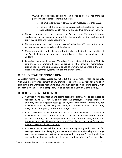USDOT-FTA regulations require the employee to be removed from the performance of safety-sensitive duties until:

- i. The employee's *alcohol concentration* measures less than 0.02; or
- ii. The start of the employee's next regularly scheduled duty period, but not less than eight hours following administration of the test.
- 5) No *covered employee* shall consume *alcohol* for eight (8) hours following involvement in an *accident* or until he/she submits to the post-*accident* drug/*alcohol* test, whichever occurs first.
- 6) No *covered employee* shall consume *alcohol* within four (4) hours prior to the performance of safety-sensitive job functions.
- 7) Mountain Mobility, under its own authority, also prohibits the consumption of *alcohol* at all times the employee is on duty, or anytime the employee is in uniform.
- 8) Consistent with the Drug-free Workplace Act of 1988, all Mountain Mobility employees are prohibited from engaging in the unlawful manufacture, distribution, dispensing, possession, or use of prohibited substances in the work place including transit system premises and transit *vehicles*.

## <span id="page-5-0"></span>**G. DRUG STATUTE CONVICTION**

Consistent with the Drug Free Workplace Act of 1998, all employees are required to notify Mountain Mobility management of any criminal drug statute conviction for a violation occurring in the workplace within five days after such conviction. Failure to comply with this provision shall result in disciplinary action as defined in Section Q of this policy.

## <span id="page-5-1"></span>**H. TESTING REQUIREMENTS**

- 1) Analytical urine drug testing and breath testing for *alcohol* will be conducted as required by 49 CFR Part 40 as amended. All employees covered under FTA authority shall be subject to testing prior to *performing* safety-sensitive duty, for reasonable suspicion, following an *accident*, and random as defined in Section K, L, M, and N of this policy, and return to duty/follow-up.
- 2) A drug test can be performed any time a *covered employee* is on duty. A reasonable suspicion, random, or follow-up *alcohol* test can only be performed just before, during, or after the performance of a safety-sensitive job function. Under Mountain Mobility authority, a non-DOT *alcohol* test can be performed any time a *covered employee* is on duty.
- 3) All *covered employees* will be subject to urine drug testing and breath *alcohol* testing as a condition of ongoing employment with Mountain Mobility. Any safetysensitive employee who refuses to comply with a request for testing shall be removed from duty and subject to discipline as defined in Section Q of this policy.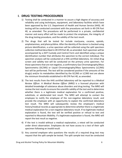## <span id="page-6-0"></span>**I. DRUG TESTING PROCEDURES**

- 1) Testing shall be conducted in a manner to assure a high degree of accuracy and reliability and using techniques, equipment, and *laboratory* facilities which have been approved by the U.S. Department of Health and Human Service (HHS). All testing will be conducted consistent with the procedures set forth in 49 CFR Part 40, as amended. The procedures will be performed in a private, confidential manner and every effort will be made to protect the employee, the integrity of the drug testing procedure, and the validity of the test result.
- 2) The drugs that will be tested for include marijuana, cocaine, opioids, amphetamines, and phencyclidine. After the identity of the donor is checked using picture identification, a urine specimen will be collected using the *split specimen collection* method described in 49 CFR Part 40, as amended. Each specimen will be accompanied by a *DOT* Custody and Control Form and identified using a unique identification number that attributes the specimen to the correct individual. The specimen analysis will be conducted at a HHS certified *laboratory*. An initial drug screen and validity test will be conducted on the primary urine specimen. For those specimens that are not negative, a confirmatory Gas Chromatography/Mass Spectrometry (GC/MS) or Liquid Chromatography/Mass Spectrometry (LC/MS) test will be performed. The test will be considered positive if the amounts of the drug(s) and/or its metabolites identified by the GC/MS or LC/MS test are above the minimum thresholds established in 49 CFR Part 40, as amended.
- 3) The test results from the HHS certified *laboratory* will be reported to a *Medical Review Officer*. A *Medical Review Officer (MRO)* is a licensed physician with detailed knowledge of substance abuse disorders and drug testing. The MRO will review the test results to ensure the scientific validity of the test and to determine whether there is a legitimate medical explanation for a confirmed positive, substitute, or adulterated test result. The MRO will attempt to contact the employee to notify the employee of the non-negative *laboratory* result, and provide the employee with an opportunity to explain the confirmed *laboratory* test result. The MRO will subsequently review the employee's medical history/medical records as appropriate to determine whether there is a legitimate medical explanation for a non-negative *laboratory* result. If no legitimate medical explanation is found, the test will be verified positive or refusal to test and reported to Mountain Mobility. If a legitimate explanation is found, the MRO will report the test result as negative.
- 4) If the test is invalid without a medical explanation, a retest will be conducted under direct observation. Employees do not have access to a test of their split specimen following an *invalid result*.
- 5) Any *covered employee* who questions the results of a required drug test may request that the split sample be tested. The split sample test must be conducted

Drug and Alcohol Testing Policy for Mountain Mobility 6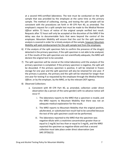at a second HHS-certified *laboratory*. The test must be conducted on the split sample that was provided by the employee at the same time as the primary sample. The method of collecting, storing, and testing the split sample will be consistent with the procedures set forth in 49 CFR Part 40, as amended. The employee's request for a split sample test must be made to the *Medical Review Officer* within 72 hours of notice of the original sample verified test result. Requests after 72 hours will only be accepted at the discretion of the MRO if the delay was due to documentable facts that were beyond the control of the employee. Mountain Mobility will ensure that the cost for the split specimen analysis is covered in order for a timely analysis of the sample, however Mountain Mobility will seek reimbursement for the split sample test from the employee.

- 6) If the analysis of the split specimen fails to confirm the presence of the drug(s) detected in the primary specimen, if the split specimen is not able to be analyzed, or if the results of the split specimen are not scientifically adequate, the MRO will declare the original test to be canceled.
- 7) The split specimen will be stored at the initial *laboratory* until the analysis of the primary specimen is completed. If the primary specimen is negative, the split will be discarded. If the primary specimen is positive, it will be retained in frozen storage for one year and the split specimen will also be retained for one year. If the primary is positive, the primary and the split will be retained for longer than one year for testing if so requested by the employee through the *Medical Review Officer*, or by the employer, by the MRO, or by the relevant *DOT agency*.
- 8) Observed Collections
	- a. Consistent with 49 CFR Part 40, as amended, collection under direct observation (by a person of the same gender) with no advance notice will occur if:
		- i. The *laboratory* reports to the MRO that a specimen is invalid, and the MRO reports to Mountain Mobility that there was not an adequate medical explanation for the result;
		- ii. The MRO reports to Mountain Mobility that the original positive, adulterated, or substituted test result had to be cancelled because the test of the split specimen could not be performed;
		- iii. The *laboratory* reported to the MRO that the specimen was negative-dilute with a creatinine concentration greater than or equal to 2 mg/dL but less than or equal to 5 mg/dL, and the MRO reported the specimen as negative-dilute and that a second collection must take place under direct observation (see §40.197(b)(1)).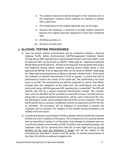- iv. The collector observes materials brought to the collection site or the employee's conduct clearly indicates an attempt to tamper with a specimen;
- v. The temperature on the original specimen was out of range;
- vi. Anytime the employee is directed to provide another specimen because the original specimen appeared to have been tampered with.
- vii. All follow-up-tests; or
- viii. All return-to-duty tests

#### <span id="page-8-0"></span>**J. ALCOHOL TESTING PROCEDURES**

- 1) Tests for breath *alcohol concentration* will be conducted utilizing a National Highway Traffic Safety Administration (NHTSA)-approved Evidential Breath Testing device (EBT) operated by a trained Breath Alcohol Technician (BAT). A list of approved EBTs can be found on ODAPC's Web page for "Approved Evidential Breath Measurement Devices". *Alcohol* screening tests may be performed using a non-evidential testing device (*alcohol* screening device (ASD)) which is also approved by NHTSA. A list of approved ASDs can be found on ODAPC's Web page for "Approved Screening Devices to Measure Alcohol in Bodily Fluids". If the initial test indicates an *alcohol concentration* of 0.02 or greater, a second test will be performed to confirm the results of the initial test. The confirmatory test must occur on an EBT. The confirmatory test will be conducted no sooner than fifteen minutes after the completion of the initial test. The confirmatory test will be performed using a NHTSA-approved EBT operated by a trained BAT. The EBT will identify each test by a unique sequential identification number. This number, time, and unit identifier will be provided on each EBT printout. The EBT printout, along with an approved *alcohol* testing form, will be used to document the test, the subsequent results, and to attribute the test to the correct employee. The test will be performed in a private, confidential manner as required by 49 CFR Part 40, as amended. The procedure will be followed as prescribed to protect the employee and to maintain the integrity of the *alcohol* testing procedures and validity of the test result.
- 2) A confirmed *alcohol concentration* of 0.04 or greater will be considered a positive *alcohol* test and in violation of this policy. The consequences of a positive *alcohol* test are described in Section Q. of this policy. Even though an employee who has a confirmed *alcohol concentration* of 0.02 to 0.039 is not considered positive, the employee shall still be removed from duty for at least eight hours or for the duration of the work day whichever is longer and will be subject to the consequences described in Section Q of this policy. An *alcohol concentration* of less than 0.02 will be considered a negative test.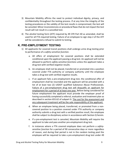- 3) Mountain Mobility affirms the need to protect individual dignity, privacy, and confidentiality throughout the testing process. If at any time the integrity of the testing procedures or the validity of the test results is compromised, the test will be canceled. Minor inconsistencies or procedural flaws that do not impact the test result will not result in a cancelled test.
- 4) The *alcohol* testing form (ATF) required by 49 CFR Part 40 as amended, shall be used for all FTA required testing. Failure of an employee to sign step 2 of the ATF will be considered a refusal to submit to testing.

## <span id="page-9-0"></span>**K. PRE-EMPLOYMENT TESTING**

- 1) All applicants for covered transit positions shall undergo urine drug testing prior to performance of a *safety-sensitive function*.
	- a. All offers of employment for covered positions shall be extended conditional upon the applicant passing a drug test. An applicant will not be allowed to perform *safety-sensitive functions* unless the applicant takes a drug test with verified *negative results*.
	- b. An employee shall not be placed, transferred or promoted into a position covered under FTA authority or company authority until the employee takes a drug test with verified *negative results*.
	- c. If an applicant fails a pre-employment drug test, the conditional offer of employment shall be rescinded and the applicant will be provided with a list of at least two (2) USDOT qualified Substance Abuse Professionals. Failure of a pre-employment drug test will disqualify an applicant for employment for a period of at least one year. Before being considered for future employment the applicant must provide the employer proof of having successfully completed a referral, evaluation and treatment plan as described in section 655.62 of subpart G. The cost for the assessment and any subsequent treatment will be the sole responsibility of the applicant.
	- d. When an employee being placed, transferred, or promoted from a noncovered position to a position covered under FTA authority or company authority submits a drug test with a verified *positive result*, the employee shall be subject to disciplinary action in accordance with Section Q herein.
	- e. If a pre-employment test is canceled, Mountain Mobility will require the applicant to take and pass another pre-employment drug test.
	- f. In instances where a FTA *covered employee* does not perform a *safetysensitive function* for a period of 90 consecutive days or more regardless of reason, and during that period is not in the random testing pool the employee will be required to take a pre-employment drug test under 49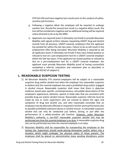CFR Part 655 and have negative test results prior to the conduct of safetysensitive job functions.

- g. Following a *negative dilute* the employee will be required to undergo another test. Should this second test result in a *negative dilute* result, the test will be considered a negative and no additional testing will be required unless directed to do so by the MRO.
- h. Applicants are required (even if ultimately not hired) to provide Mountain Mobility with signed written releases requesting USDOT drug and *alcohol* records from all previous, USDOT-covered, employers that the applicant has worked for within the last two years. Failure to do so will result in the employment offer being rescinded. Mountain Mobility is required to ask all applicants (even if ultimately not hired) if they have tested positive or refused to test on a pre-employment test for a USDOT covered employer within the last two years. If the applicant has tested positive or refused to test on a pre-employment test for a USDOT covered employer, the applicant must provide Mountain Mobility proof of having successfully completed a referral, evaluation and treatment plan as described in section 655.62 of subpart G.

## <span id="page-10-0"></span>**L. REASONABLE SUSPICION TESTING**

- 1) All Mountain Mobility FTA *covered employees* will be subject to a reasonable suspicion drug and/or *alcohol* test when the employer has reasonable suspicion to believe that the *covered employee* has used a *prohibited drug* and/or engaged in *alcohol* misuse. Reasonable suspicion shall mean that there is objective evidence, based upon specific, contemporaneous, articulable observations of the employee's appearance, behavior, speech or body odor that are consistent with possible drug use and/or *alcohol* misuse. Reasonable suspicion referrals must be made by one or more supervisors who are trained to detect the signs and symptoms of drug and *alcohol* use, and who reasonably concludes that an employee may be adversely affected or impaired in his/her work performance due to possible prohibited substance abuse or *alcohol* misuse. A reasonable suspicion *alcohol* test can only be conducted just before, during, or just after the performance of a safety-sensitive job function. However, under Mountain Mobility's authority, a non-DOT reasonable suspicion *alcohol* test may be performed any time the *covered employee* is on duty. A reasonable suspicion drug test can be performed any time the *covered employee* is on duty.
- 2) Mountain Mobility shall be responsible for transporting the employee to the testing site. Supervisors should avoid placing themselves and/or others into a situation which might endanger the physical safety of those present. The employee shall be placed on administrative leave pending disciplinary action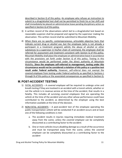described in Section Q of this policy. An employee who refuses an instruction to submit to a drug/*alcohol* test shall not be permitted to finish his or her shift and shall immediately be placed on administrative leave pending disciplinary action as specified in Section Q of this policy.

- 3) A written record of the observations which led to a drug/*alcohol* test based on reasonable suspicion shall be prepared and signed by the supervisor making the observation. This written record shall be submitted to Mountain Mobility.
- 4) When there are no specific, contemporaneous, articulable objective facts that indicate current drug or *alcohol* use, but the employee (who is not already a participant in a treatment program) admits the abuse of *alcohol* or other substances to a supervisor in his/her chain of command, the employee shall be referred for assessment and treatment consistent with Section Q of this policy. Mountain Mobility shall place the employee on administrative leave in accordance with the provisions set forth under Section  $Q$  of this policy. Testing in this circumstance would be performed under the direct authority of Mountain Mobility. **Since the employee self-referred to management, testing under this circumstance would not be considered a violation of this policy or a positive test result under Federal authority.** However, self-referral does not exempt the *covered employee* from testing under Federal authority as specified in Sections L through N of this policy or the associated consequences as specified in Section Q.

## <span id="page-11-0"></span>**M.POST-ACCIDENT TESTING**

- 1) FATAL ACCIDENTS A *covered employee* will be required to undergo urine and breath testing if they are involved in an *accident* with a transit *vehicle*, whether or not the *vehicle* is in revenue service at the time of the *accident*, that results in a fatality. This includes all surviving *covered employees* that are operating the *vehicle* at the time of the *accident* and any other whose performance could have contributed to the *accident*, as determined by the employer using the best information available at the time of the decision.
- 2) NON-FATAL ACCIDENTS A post-*accident* test of the employee operating the public transportation *vehicle* will be conducted if an *accident* occurs and at least one of the following conditions is met:
	- a. The *accident* results in injuries requiring immediate medical treatment away from the scene, unless the *covered employee* can be completely discounted as a contributing factor to the *accident*.
	- b. One or more *vehicles*incurs *disabling damage* as a result of the occurrence and must be transported away from the scene, unless the *covered employee* can be completely discounted as a contributing factor to the *accident*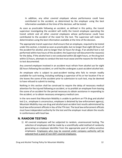In addition, any other *covered employee* whose performance could have contributed to the *accident*, as determined by the employer using the best information available at the time of the decision, will be tested.

As soon as practicable following an *accident*, as defined in this policy, the transit supervisor investigating the *accident* will notify the transit employee operating the transit *vehicle* and all other *covered employees* whose performance could have contributed to the *accident* of the need for the test. The supervisor will make the determination using the best information available at the time of the decision.

The appropriate transit supervisor shall ensure that an employee, required to be tested under this section, is tested as soon as practicable, but no longer than eight (8) hours of the *accident* for *alcohol*, and no longer than 32 hours for drugs. If an *alcohol* test is not performed within two hours of the *accident*, the Supervisor will document the reason(s) for the delay. If the *alcohol* test is not conducted within (8) eight hours, or the drug test within 32 hours, attempts to conduct the test must cease and the reasons for the failure to test documented.

Any *covered employee* involved in an *accident* must refrain from *alcohol* use for eight (8) hours following the *accident*, or until he/she undergoes a post-*accident alcohol* test.

An employee who is subject to post-*accident* testing who fails to remain readily available for such testing, including notifying a supervisor of his or her location if he or she leaves the scene of the *accident* prior to submission to such test, may be deemed to have refused to submit to testing.

Nothing in this section shall be construed to require the delay of necessary medical attention for the injured following an *accident*, or to prohibit an employee from leaving the scene of an *accident* for the period necessary to obtain assistance in responding to the *accident*, or to obtain necessary emergency medical care.

In the rare event that Mountain Mobility is unable to perform an FTA drug and *alcohol* test (i.e., employee is unconscious, employee is detained by law enforcement agency), Mountain Mobility may use drug and *alcohol* post-*accident* test results administered by local law enforcement officials in lieu of the FTA test. The local law enforcement officials must have independent authority for the test and the employer must obtain the results in conformance with local law.

## <span id="page-12-0"></span>**N. RANDOM TESTING**

1) All *covered employees* will be subjected to random, unannounced testing. The selection of employees shall be made by a scientifically valid method of randomly generating an employee identifier from the appropriate pool of safety-sensitive employees. Employees who may be covered under company authority will be selected from a pool of non-DOT-*covered employees*.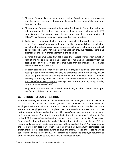- 2) The dates for administering unannounced testing of randomly selected employees shall be spread reasonably throughout the calendar year, day of the week and hours of the day.
- 3) The number of employees randomly selected for drug/*alcohol* testing during the calendar year shall be not less than the percentage rates set each year by the FTA administrator. The current year testing rates can be viewed online at https://www.transportation.gov/odapc/random-testing-rates.
- 4) Each *covered employee* shall be in a pool from which the random selection is made. Each *covered employee* in the pool shall have an equal chance of selection each time the selections are made. Employees will remain in the pool and subject to selection, whether or not the employee has been previously tested. There is no discretion on the part of management in the selection.
- 5) Covered transit employees that fall under the Federal Transit Administration regulations will be included in one random pool maintained separately from the testing pool of non-safety-sensitive employees that are included solely under Mountain Mobility authority.
- 6) Random tests can be conducted at any time during an employee's shift for drug testing. *Alcohol* random tests can only be performed just before, during, or just after the performance of a safety sensitive duty. However, under Mountain Mobility's authority, a non-DOT random *alcohol* test may be performed any time the *covered employee* is on duty. Testing can occur during the beginning, middle, or end of an employee's shift.
- 7) Employees are required to proceed immediately to the collection site upon notification of their random selection.

## <span id="page-13-0"></span>**O. RETURN-TO-DUTY TESTING**

Mountain Mobility will terminate the employment of any employee that tests positive or refuses a test as specified in section Q of this policy. However, in the rare event an employee is reinstated with court order or other action beyond the control of the transit system, the employee must complete the return-to-duty process prior to the performance of *safety-sensitive functions*. All *covered employees* who previously tested positive on a drug or *alcohol* test or refused a test, must test negative for drugs, *alcohol* (below 0.02 for *alcohol*), or both and be evaluated and released by the *Substance Abuse Professional* before returning to work. Following the initial assessment, the SAP will recommend a course of rehabilitation unique to the individual. The SAP will recommend the return-to-duty test only when the employee has successfully completed the treatment requirement and is known to be drug and *alcohol*-free and there are no undue concerns for public safety. The SAP will determine whether the employee returning to duty will require a return-to-duty drug test, *alcohol* test, or both.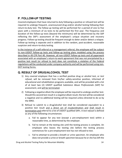# <span id="page-14-0"></span>**P. FOLLOW-UP TESTING**

*Covered employees* that have returned to duty following a positive or refused test will be required to undergo frequent, unannounced drug and/or *alcohol* testing following their return-to-duty test. The follow-up testing will be performed for a period of one to five years with a minimum of six tests to be performed the first year. The frequency and duration of the follow-up tests (beyond the minimums) will be determined by the SAP reflecting the SAP's assessment of the employee's unique situation and recovery progress. Follow-up testing should be frequent enough to deter and/or detect a relapse. Follow-up testing is separate and in addition to the random, post-*accident*, reasonable suspicion and return-to-duty testing.

In the instance of a self-referral or a management referral, the employee will be subject to non-USDOT follow-up tests and follow-up testing plans modeled using the process described in 49 CFR Part 40. However, all non-USDOT follow-up tests and all paperwork associated with an employee's return-to-work agreement that was not precipitated by a positive test result (or refusal to test) does not constitute a violation of the Federal regulations will be conducted under company authority and will be performed using non-DOT testing forms.

## <span id="page-14-1"></span>**Q. RESULT OF DRUG/ALCOHOL TEST**

- 1) Any *covered employee* that has a verified positive drug or *alcohol* test, or *test refusal*, will be removed from his/her safety-sensitive position, informed of educational and rehabilitation programs available, and will be provided with a list of at least two (2) USDOT qualified *Substance Abuse Professionals (SAP)* for assessment, and will be terminated.
- 2) Following a *negative dilute* the employee will be required to undergo another test. Should this second test result in a *negative dilute* result, the test will be considered a negative and no additional testing will be required unless directed to do so by the MRO.
- 3) Refusal to submit to a drug/*alcohol* test shall be considered equivalent to a positive test result and a direct act of insubordination and shall result in termination and referral to a list of USDOT qualified SAPs. A *test refusal* is defined as any of the following circumstances:
	- a. Fail to appear for any test (except a pre-employment test) within a reasonable time, as determined by the employer.
	- b. Fail to remain at the testing site until the testing process is complete. An employee who leaves the testing site before the testing process commences for a pre-employment test has not refused to test.
	- c. Fail to attempt to provide a breath or urine specimen. An employee who does not provide a urine or breath specimen because he or she has left the

Drug and Alcohol Testing Policy for Mountain Mobility 14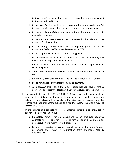testing site before the testing process commenced for a pre-employment test has not refused to test.

- d. In the case of a directly-observed or monitored urine drug collection, fail to permit monitoring or observation of your provision of a specimen.
- e. Fail to provide a sufficient quantity of urine or breath without a valid medical explanation.
- f. Fail or decline to take a second test as directed by the collector or the employer for drug testing.
- g. Fail to undergo a medical evaluation as required by the MRO or the employer's *Designated Employer Representative (DER)*.
- h. Fail to cooperate with any part of the testing process.
- i. Fail to follow an observer's instructions to raise and lower clothing and turn around during a directly-observed test.
- j. Possess or wear a prosthetic or other device used to tamper with the collection process.
- k. Admit to the adulteration or substitution of a specimen to the collector or MRO.
- l. Refuse to sign the certification at Step 2 of the Alcohol Testing Form (ATF).
- m. Fail to remain readily available following an *accident*.
- n. As a *covered employee*, if the MRO reports that you have a verified adulterated or substituted test result, you have refused to take a drug test.
- 4) An *alcohol* test result of ≥0.02 to ≤ 0.039 BAC shall result in the removal of the employee from duty for eight hours or the remainder or the work day whichever is longer. The employee will not be allowed to return to safety-sensitive duty for his/her next shift until he/she submits to a non-DOT *alcohol* test with a result of less than 0.02 BAC.
- 5) In the instance of a self-referral or a management referral, disciplinary action against the employee shall include:
	- a. Mandatory referral for an assessment by an employer approved counseling professional for assessment, formulation of a treatment plan, and execution of a return-to-work agreement;
	- b. Failure to execute, or remain compliant with the return-to-work agreement shall result in termination from Mountain Mobility employment.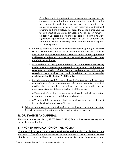- i. Compliance with the return-to-work agreement means that the employee has submitted to a drug/*alcohol* test immediately prior to returning to work; the result of that test is negative; the employee is cooperating with his/her recommended treatment program; and, the employee has agreed to periodic unannounced follow-up testing as described in Section P of this policy; however, all follow-up testing performed as part of a return-to-work agreement required under section Q of this policy is under the sole authority of Mountain Mobility and will be performed using non-DOT testing forms.
- c. Refusal to submit to a periodic unannounced follow-up drug/*alcohol* test shall be considered a direct act of insubordination and shall result in termination. **All tests conducted as part of the return-to-work agreement will be conducted under company authority and will be performed using non-DOT testing forms.**
- d. **A self-referral or management referral to the employer's counseling professional that was not precipitated by a positive test result does not constitute a violation of the Federal regulations and will not be considered as a positive test result in relation to the progressive discipline defined in Section Q of this policy**.
- e. Periodic unannounced follow-up drug/*alcohol* testing conducted as a result of a self-referral or management referral which results in a verified positive shall be considered a positive test result in relation to the progressive discipline defined in Section Q of this policy.
- f. A Voluntary Referral does not shield an employee from disciplinary action or guarantee employment with Mountain Mobility.
- g. A Voluntary Referral does not shield an employee from the requirement to comply with drug and *alcohol* testing.
- 6) Failure of an employee to report within five days a criminal drug statute conviction for a violation occurring in the workplace shall result in termination.

## <span id="page-16-0"></span>**R. GRIEVANCE AND APPEAL**

The consequences specified by 49 CFR Part 40.149 (c) for a positive test or *test refusal* is not subject to arbitration.

# <span id="page-16-1"></span>**S. PROPER APPLICATION OF THE POLICY**

Mountain Mobility is dedicated to assuring fair and equitable application of this substance abuse policy. Therefore, supervisors/managers are required to use and apply all aspects of this policy in an unbiased and impartial manner. Any supervisor/manager who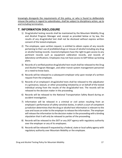knowingly disregards the requirements of this policy, or who is found to deliberately misuse the policy in regard to subordinates, shall be subject to disciplinary action, up to and including termination.

## <span id="page-17-0"></span>**T. INFORMATION DISCLOSURE**

- 1) Drug/*alcohol* testing records shall be maintained by the Mountain Mobility Drug and Alcohol Program Manager and, except as provided below or by law, the results of any drug/*alcohol* test shall not be disclosed without express written consent of the tested employee.
- 2) The employee, upon written request, is entitled to obtain copies of any records pertaining to their use of *prohibited drugs* or misuse of *alcohol* including any drug or *alcohol* testing records. *Covered employees* have the right to gain access to any pertinent records such as equipment calibration records, and records of *laboratory* certifications. Employees may not have access to SAP follow-up testing plans.
- 3) Records of a verified positive drug/*alcohol* test result shall be released to the Drug and Alcohol Program Manager, and other transit system management personnel on a need-to-know basis.
- 4) Records will be released to a subsequent employer only upon receipt of a written request from the employee.
- 5) Records of an employee's drug/*alcohol* tests shall be released to the adjudicator in a grievance, lawsuit, or other proceeding initiated by or on behalf of the tested individual arising from the results of the drug/*alcohol* test. The records will be released to the decision maker in the proceeding.
- 6) Records will be released to the National Transportation Safety Board during an *accident* investigation.
- 7) Information will be released in a criminal or civil action resulting from an employee's performance of safety-sensitive duties, in which a court of competent jurisdiction determines that the drug or *alcohol* test information is relevant to the case and issues an order to the employer to release the information. The employer will release the information to the decision maker in the proceeding with a binding stipulation that it will only be released to parties of the proceeding.
- 8) Records will be released to the *DOT* or any *DOT agency* with regulatory authority over the employer or any of its employees.
- 9) Records will be released if requested by a Federal, state or local safety agency with regulatory authority over Mountain Mobility or the employee.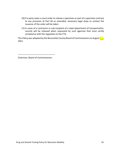- 10) If a party seeks a court order to release a specimen or part of a specimen contrary to any provision of Part 40 as amended, necessary legal steps to contest the issuance of the order will be taken
- 11) In cases of a contractor or sub-recipient of a state department of transportation, records will be released when requested by such agencies that must certify compliance with the regulation to the FTA.

This Policy was adopted by the Buncombe County Board of Commissioners on August  $\Box$ , 2021.

Chairman, Board of Commissioners

\_\_\_\_\_\_\_\_\_\_\_\_\_\_\_\_\_\_\_\_\_\_\_\_\_\_\_\_\_\_\_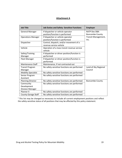#### **Attachment A**

| <b>Job Title</b>           | <b>Job Duties and Safety- Sensitive Functions</b> | <b>Employer</b>        |
|----------------------------|---------------------------------------------------|------------------------|
| <b>General Manager</b>     | If dispatcher or vehicle operator                 | <b>RATP Dev DBA</b>    |
|                            | position/function is performed                    | <b>Buncombe County</b> |
| <b>Operations Manager</b>  | If dispatcher or vehicle operator                 | Transit Management,    |
|                            | position/function is performed                    | Inc.                   |
| Dispatcher                 | Control, dispatch, and/or movement of a           |                        |
|                            | revenue service vehicle                           |                        |
| Vehicle                    | Operation of a mass transit revenue service       |                        |
|                            | vehicle                                           |                        |
| Safety/Training            | If dispatcher or driver position/function is      |                        |
| Manager                    | performed                                         |                        |
| Fleet Manager              | If dispatcher or driver position/function is      |                        |
|                            | performed                                         |                        |
| <b>Maintenance Staff</b>   | Maintenance, if not contracted out                |                        |
| <b>Transit Program</b>     | No safety-sensitive functions are performed       | Land-of-Sky Regional   |
| Manager                    |                                                   | Council                |
| <b>Mobility Specialist</b> | No safety-sensitive functions are performed       |                        |
| Senior Program             | No safety-sensitive functions are performed       |                        |
| Assistant                  |                                                   |                        |
| <b>Planning Director</b>   | No safety-sensitive functions are performed       | <b>Buncombe County</b> |
| Community                  | No safety-sensitive functions are performed       |                        |
| Development                |                                                   |                        |
| <b>Division Manager</b>    |                                                   |                        |
| Planner II                 | No safety-sensitive functions are performed       |                        |
| <b>County Garage Staff</b> | No safety-sensitive functions are performed       |                        |

 $1$  This list may be changed as necessary to include all current employment positions and reflect the safety-sensitive status of all positions that may be affected by this policy statement.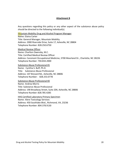#### **Attachment B**

Any questions regarding this policy or any other aspect of the substance abuse policy should be directed to the following individual(s).

Mountain Mobility Drug and Alcohol Program Manager

Name: Elaina Carter Title: General Manager, Mountain Mobility Address: 2000 Riverside Drive, Suite 17, Asheville, NC 28804 Telephone Number: 828.250.6750

Medical Review Officer Name: Charlton Owensby, M.C. Title: Certified Medical Review Officer Address: Caromont Occupational Medicine, 3700 Moorland Dr., Charlotte, NC 28226 Telephone Number: 704.834.2000

Substance Abuse Professional #1 Name: Cynthia S. Buff, Ph.D. Title: Substance Abuse Professional Address: 107 Brevard Rd., Asheville, NC 28806 Telephone Number: 828.253.0778

Substance Abuse Professional #2 Name: Andrea Morris Title: Substance Abuse Professional Address: 190 Broadway Street, Suite 204, Asheville, NC 28806 Telephone Number: 828.785.4285

HHS Certified Laboratory Primary Specimen Name: Alere Toxicology Services Address: 450 Southlake Blvd., Richmond, VA, 23236 Telephone Number: 804.378.9130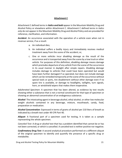#### **Attachment C**

Attachment C defined terms in *italics and bold* appear in the Mountain Mobility Drug and Alcohol Policy or elsewhere within Attachment C. Attachment C defined terms in *italics only* do not appear in the Mountain Mobility Drug and Alcohol Policy and are provided for reference, clarification, and information.

*Accident*: An occurrence associated with the operation of a vehicle even when not in revenue service, if as a result:

- a. An individual dies;
- b. An individual suffers a bodily injury and immediately receives medical treatment away from the scene of the accident; or,
- c. One or more *vehicles* incur *disabling damage* as the result of the occurrence and is transported away from the scene by a tow truck or other *vehicle*. For purposes of this definition, *disabling damage* means damage which precludes departure of any *vehicle* from the scene of the occurrence in its usual manner in daylight after simple repairs. *Disabling damage* includes damage to *vehicles* that could have been operated but would have been further damaged if so operated, but does not include damage which can be remedied temporarily at the scene of the occurrence without special tools or parts, tire disablement without other damage even if no spare tire is available, or damage to headlights, taillights, turn signals, horn, or windshield wipers that makes them inoperative.

*Adulterated Specimen*: A specimen that has been altered, as evidence by test results showing either a substance that is not a normal constituent for that type of specimen or showing an abnormal concentration of an endogenous substance.

*Alcohol*: The intoxicating agent in beverage alcohol, ethyl alcohol, or other low molecular weight alcohols contained in any beverage, mixture, mouthwash, candy, food, preparation or medication.

*Alcohol Concentration:* Expressed in terms of grams of alcohol per 210 liters of breath as indicated by a breath test under 49 CFR Part 40.

*Aliquot:* A fractional part of a specimen used for testing, It is taken as a sample representing the whole specimen.

*Canceled Test*: A drug or *alcohol* test that has a problem identified that cannot be or has not been corrected, or which is cancelled. A canceled test is neither positive nor negative.

*Confirmatory Drug Test:* A second analytical procedure performed on a different aliquot of the original specimen to identify and quantify the presence of a specific drug or metabolite.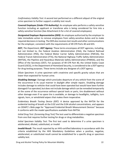*Confirmatory Validity Test:* A second test performed on a different *aliquot* of the original urine specimen to further support a validity test result.

*Covered Employee (Under FTA Authority):* An employee who performs a safety-sensitive function including an applicant or transferee who is being considered for hire into a safety-sensitive function (See Attachment A for a list of covered employees).

*Designated Employer Representative (DER):* An employee authorized by the employer to take immediate action to remove employees from safety-sensitive duties and to make required decisions in testing. The DER also receives test results and other communications for the employer, consistent with the requirements of 49 CFR Parts 40 and 655.

*DOT, The Department, DOT Agency:* These terms encompass all DOT agencies, including, but not limited to, the Federal Aviation Administration (FAA), the Federal Railroad Administration (FRA), the Federal Motor Carrier Safety Administration (FMCSA), the Federal Transit Administration (FTA), the National Highway Traffic Safety Administration (NHTSA), the Pipeline and Hazardous Materials Safety Administration (PHMSA), and the Office of the Secretary (OST). For purposes of 49 CFR Part 40, the United States Coast Guard (USCG), in the Department of Homeland Security, is considered to be a *DOT agency* for drug testing purposes. These terms include any designee of a *DOT agency*.

*Dilute Specimen:* A urine specimen with creatinine and specific gravity values that are lower than expected for human urine.

*Disabling Damage:* Damage which precludes departure of any *vehicle* from the scene of the occurrence in its usual manner in daylight after simple repairs. Disabling damage includes damage to *vehicles* that could have been operated but would have been further damaged if so operated, but does not include damage which can be remedied temporarily at the scene of the occurrence without special tools or parts, tire disablement without other damage even if no spare tire is available, or damage to headlights, taillights, turn signals, horn, or windshield wipers that makes them inoperative.

*Evidentiary Breath Testing Device (EBT):* A device approved by the NHTSA for the evidential testing of breath at the 0.02 and the 0.04 *alcohol concentrations*, and appears on ODAPC's Web page for "Approved Evidential Breath Measurement Devices" because it conforms with the model specifications available from NHTSA.

*Initial Drug Test: (Screening Drug Test)* The test used to differentiate a negative specimen from one that requires further testing for drugs or drug metabolites.

*Initial Specimen Validity Test:* The first test used to determine if a urine specimen is adulterated, diluted, substituted, or invalid

*Invalid Result:* The result reported by an HHS-certified *laboratory* in accordance with the criteria established by the HHS Mandatory Guidelines when a positive, negative, adulterated, or substituted result cannot be established for a specific drug or specimen validity test.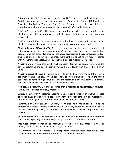Laboratory: Any U.S. laboratory certified by HHS under the National Laboratory Certification program as meeting standards of Subpart C of the HHS Mandatory Guidelines for Federal Workplace Drug Testing Programs; or, in the case of foreign laboratories, a laboratory approved for participation by *DOT* under this part.

*Limit of Detection (LOD):* The lowest concentration at which a measurand can be identified, but (for quantitative assays) the concentration cannot be accurately calculated.

*Limit of Quantitation:* For quantitative assays, the lowest concentration at which the identity and concentration of the measurand can be accurately established.

*Medical Review Officer (MRO):* A licensed physician (medical doctor or doctor of osteopathy) responsible for receiving *laboratory* results generated by the drug testing program who has knowledge of substance abuse disorders, and has appropriate medical training to interpret and evaluate an individual's confirmed positive test result, together with his/her medical history, and any other relevant bio-medical information.

*Negative Dilute:* A drug test result which is negative for the five drug/drug metabolites but has creatinine and specific gravity values that are lower than expected for human urine.

*Negative Result:* The result reported by an HHS-certified *laboratory* to an MRO when a specimen contains no drug or the concentration of the drug is less than the cutoff concentration for the drug or drug class and the specimen is a valid specimen. An *alcohol concentration* of less than 0.02 BAC is a negative test result.

*Non-negative Test Result:* A urine specimen that is reported as adulterated, substituted, invalid, or positive for drug/drug metabolites.

*Oxidizing Adulterant:* A substance that acts alone or in combination with other substances to oxidize drugs or drug metabolites to prevent the detection of the drug or metabolites, or affects the reagents in either the initial or *confirmatory drug test*.

*Performing (a Safety-sensitive Function):* A *covered employee* is considered to be performing a safety-sensitive function and includes any period in which he or she is actually performing, ready to perform, or immediately available to perform such functions.

*Positive Result:* The result reported by an HHS- Certified *laboratory* when a specimen contains a drug or drug metabolite equal or greater to the cutoff concentrations.

*Prohibited Drug:* Identified as marijuana, cocaine, opioids, amphetamines, or phencyclidine as specified in 49 CFR Part 40, as amended.

*Reconfirmed:* The result reported for a split specimen when the second *laboratory* is able to corroborate the original result reported for the primary specimen.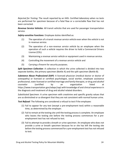*Rejected for Testing:* The result reported by an HHS- Certified *laboratory* when no tests are performed for specimen because of a fatal flaw or a correctable flaw that has not been corrected.

*Revenue Service Vehicles:* All transit *vehicles* that are used for passenger transportation service.

*Safety-sensitive Functions:* Employee duties identified as:

- (1) The operation of a transit *revenue service vehicle* even when the *vehicle* is not in revenue service.
- (2) The operation of a non-*revenue service vehicle* by an employee when the operation of such a *vehicle* requires the driver to hold a Commercial Drivers License (CDL).
- (3) Maintaining a *revenue service vehicle* or equipment used in revenue service.
- (4) Controlling the movement of a *revenue service vehicle* and
- (5) Carrying a firearm for security purposes.

*Split Specimen Collection:* A collection in which the urine collected is divided into two separate bottles, the primary specimen (Bottle A) and the split specimen (Bottle B).

*Substance Abuse Professional (SAP):* A licensed physician (medical doctor or doctor of osteopathy) or licensed or certified psychologist, social worker, employee assistance professional, state-licensed or certified marriage and family therapist, or drug and *alcohol* counselor (certified by an organization listed at https://www.transportation.gov/odapc/sap) with knowledge of and clinical experience in the diagnosis and treatment of drug and *alcohol* related disorders.

*Substituted Specimen:* A urine specimen with creatinine and specific gravity values that are so diminished or so divergent that they are not consistent with normal human urine.

*Test Refusal:* The following are considered a refusal to test if the employee:

- (1) Fail to appear for any test (except a pre-employment test) within a reasonable time, as determined by the employer.
- (2) Fail to remain at the testing site until the testing process is complete. An employee who leaves the testing site before the testing process commences for a preemployment test has not refused to test.
- (3) Fail to attempt to provide a breath or urine specimen. An employee who does not provide a urine or breath specimen because he or she has left the testing site before the testing process commenced for a pre-employment test has not refused to test.